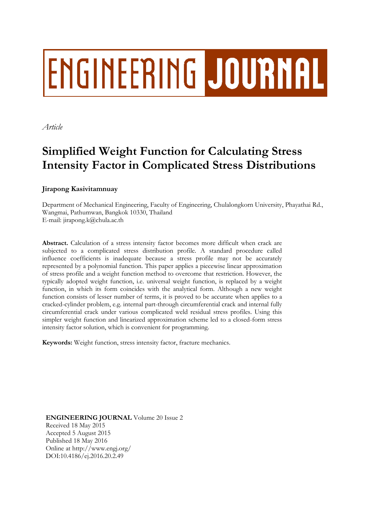# **ENGINEERING JOURNAL**

*Article*

## **Simplified Weight Function for Calculating Stress Intensity Factor in Complicated Stress Distributions**

### **Jirapong Kasivitamnuay**

Department of Mechanical Engineering, Faculty of Engineering, Chulalongkorn University, Phayathai Rd., Wangmai, Pathumwan, Bangkok 10330, Thailand E-mail: jirapong.k@chula.ac.th

**Abstract.** Calculation of a stress intensity factor becomes more difficult when crack are subjected to a complicated stress distribution profile. A standard procedure called influence coefficients is inadequate because a stress profile may not be accurately represented by a polynomial function. This paper applies a piecewise linear approximation of stress profile and a weight function method to overcome that restriction. However, the typically adopted weight function, i.e. universal weight function, is replaced by a weight function, in which its form coincides with the analytical form. Although a new weight function consists of lesser number of terms, it is proved to be accurate when applies to a cracked-cylinder problem, e.g. internal part-through circumferential crack and internal fully circumferential crack under various complicated weld residual stress profiles. Using this simpler weight function and linearized approximation scheme led to a closed-form stress intensity factor solution, which is convenient for programming.

**Keywords:** Weight function, stress intensity factor, fracture mechanics.

**ENGINEERING JOURNAL** Volume 20 Issue 2 Received 18 May 2015 Accepted 5 August 2015 Published 18 May 2016 Online at http://www.engj.org/ DOI:10.4186/ej.2016.20.2.49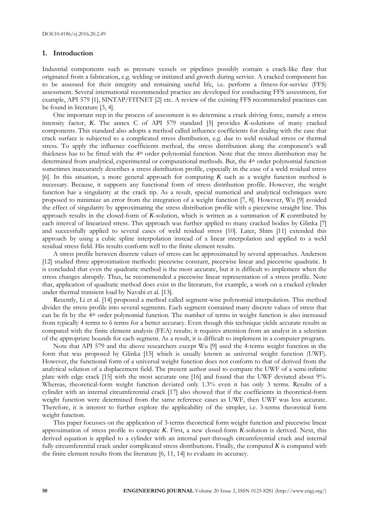#### **1. Introduction**

Industrial components such as pressure vessels or pipelines possibly contain a crack-like flaw that originated from a fabrication, e.g. welding or initiated and growth during service. A cracked component has to be assessed for their integrity and remaining useful life, i.e. perform a fitness-for-service (FFS) assessment. Several international recommended practice are developed for conducting FFS assessment, for example, API 579 [1], SINTAP/FITNET [2] etc. A review of the existing FFS recommended practices can be found in literature [3, 4].

One important step in the process of assessment is to determine a crack driving force, namely a stress intensity factor, *K*. The annex C of API 579 standard [5] provides *K*-solutions of many cracked components. This standard also adopts a method called influence coefficients for dealing with the case that crack surface is subjected to a complicated stress distribution, e.g. due to weld residual stress or thermal stress. To apply the influence coefficients method, the stress distribution along the component's wall thickness has to be fitted with the 4th order polynomial function. Note that the stress distribution may be determined from analytical, experimental or computational methods. But, the 4<sup>th</sup> order polynomial function sometimes inaccurately describes a stress distribution profile, especially in the case of a weld residual stress [6]. In this situation, a more general approach for computing *K* such as a weight function method is necessary. Because, it supports any functional form of stress distribution profile. However, the weight function has a singularity at the crack tip. As a result, special numerical and analytical techniques were proposed to minimize an error from the integration of a weight function [7, 8]. However, Wu [9] avoided the effect of singularity by approximating the stress distribution profile with a piecewise straight line. This approach results in the closed-form of *K*-solution, which is written as a summation of *K* contributed by each interval of linearized stress. This approach was further applied to many cracked bodies by Glinka [7] and successfully applied to several cases of weld residual stress [10]. Later, Shim [11] extended this approach by using a cubic spline interpolation instead of a linear interpolation and applied to a weld residual stress field. His results conform well to the finite element results.

A stress profile between discrete values of stress can be approximated by several approaches. Anderson [12] studied three approximation methods: piecewise constant, piecewise linear and piecewise quadratic. It is concluded that even the quadratic method is the most accurate, but it is difficult to implement when the stress changes abruptly. Thus, he recommended a piecewise linear representation of a stress profile. Note that, application of quadratic method does exist in the literature, for example, a work on a cracked cylinder under thermal transient load by Navabi et al. [13].

Recently, Li et al. [14] proposed a method called segment-wise polynomial interpolation. This method divides the stress profile into several segments. Each segment contained many discrete values of stress that can be fit by the 4<sup>th</sup> order polynomial function. The number of terms in weight function is also increased from typically 4 terms to 6 terms for a better accuracy. Even though this technique yields accurate results as compared with the finite element analysis (FEA) results; it requires attention from an analyst in a selection of the appropriate bounds for each segment. As a result, it is difficult to implement in a computer program.

Note that API 579 and the above researchers except Wu [9] used the 4-terms weight function in the form that was proposed by Glinka [15] which is usually known as universal weight function (UWF). However, the functional form of a universal weight function does not conform to that of derived from the analytical solution of a displacement field. The present author used to compare the UWF of a semi-infinite plate with edge crack [15] with the most accurate one [16] and found that the UWF deviated about 9%. Whereas, theoretical-form weight function deviated only 1.3% even it has only 3 terms. Results of a cylinder with an internal circumferential crack [17] also showed that if the coefficients in theoretical-form weight function were determined from the same reference cases as UWF, then UWF was less accurate. Therefore, it is interest to further explore the applicability of the simpler, i.e. 3-terms theoretical form weight function.

This paper focusses on the application of 3-terms theoretical form weight function and piecewise linear approximation of stress profile to compute *K*. First, a new closed-form *K*-solution is derived. Next, this derived equation is applied to a cylinder with an internal part-through circumferential crack and internal fully circumferential crack under complicated stress distributions. Finally, the computed *K* is compared with the finite element results from the literature [6, 11, 14] to evaluate its accuracy.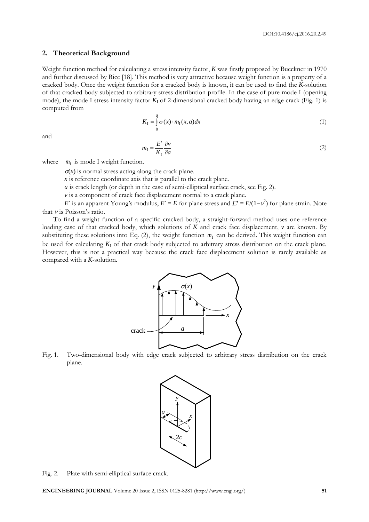#### **2. Theoretical Background**

Weight function method for calculating a stress intensity factor, *K* was firstly proposed by Bueckner in 1970 and further discussed by Rice [18]. This method is very attractive because weight function is a property of a cracked body. Once the weight function for a cracked body is known, it can be used to find the *K*-solution of that cracked body subjected to arbitrary stress distribution profile. In the case of pure mode I (opening mode), the mode I stress intensity factor  $K_I$  of 2-dimensional cracked body having an edge crack (Fig. 1) is computed from

$$
K_{I} = \int_{0}^{a} \sigma(x) \cdot m_{I}(x, a) dx
$$
 (1)

and

$$
m_{\rm I} = \frac{E'}{K_{\rm I}} \frac{\partial v}{\partial a} \tag{2}
$$

where  $m<sub>I</sub>$  is mode I weight function.

 $\sigma(x)$  is normal stress acting along the crack plane.

*x* is reference coordinate axis that is parallel to the crack plane.

*a* is crack length (or depth in the case of semi-elliptical surface crack, see Fig. 2).

*v* is a component of crack face displacement normal to a crack plane.

*E*' is an apparent Young's modulus,  $E' = E$  for plane stress and  $E' = E/(1-\nu^2)$  for plane strain. Note that  $\nu$  is Poisson's ratio.

To find a weight function of a specific cracked body, a straight-forward method uses one reference loading case of that cracked body, which solutions of *K* and crack face displacement, *v* are known. By substituting these solutions into Eq.  $(2)$ , the weight function  $m<sub>I</sub>$  can be derived. This weight function can be used for calculating  $K_I$  of that crack body subjected to arbitrary stress distribution on the crack plane. However, this is not a practical way because the crack face displacement solution is rarely available as compared with a *K*-solution.



Fig. 1. Two-dimensional body with edge crack subjected to arbitrary stress distribution on the crack plane.



Fig. 2. Plate with semi-elliptical surface crack.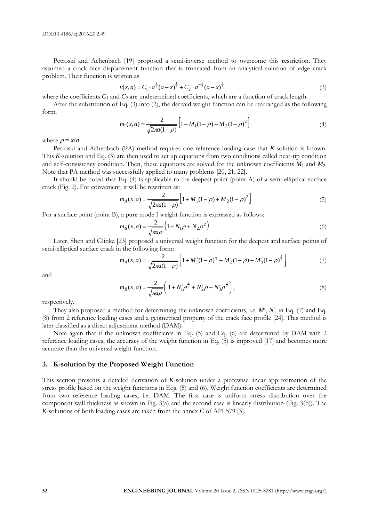Petroski and Achenbach [19] proposed a semi-inverse method to overcome this restriction. They assumed a crack face displacement function that is truncated from an analytical solution of edge crack problem. Their function is written as

$$
v(x,a) = C_1 \cdot a^{\frac{1}{2}} (a-x)^{\frac{1}{2}} + C_2 \cdot a^{-\frac{1}{2}} (a-x)^{\frac{3}{2}}
$$
 (3)

where the coefficients  $C_1$  and  $C_2$  are undetermined coefficients, which are a function of crack length.

After the substitution of Eq. (3) into (2), the derived weight function can be rearranged as the following form.

$$
m_{\rm I}(x,a) = \frac{2}{\sqrt{2\pi a(1-\rho)}} \left[ 1 + M_{1}(1-\rho) + M_{2}(1-\rho)^{2} \right]
$$
(4)

where  $\rho = x/a$ 

Petroski and Achenbach (PA) method requires one reference loading case that *K*-solution is known. This *K*-solution and Eq. (3) are then used to set up equations from two conditions called near-tip condition and self-consistency condition. Then, these equations are solved for the unknown coefficients *M*<sup>1</sup> and *M*2. Note that PA method was successfully applied to many problems [20, 21, 22].

It should be noted that Eq. (4) is applicable to the deepest point (point A) of a semi-elliptical surface crack (Fig. 2). For convenient, it will be rewritten as:

$$
m_A(x,a) = \frac{2}{\sqrt{2\pi a(1-\rho)}} \left[ 1 + M_1(1-\rho) + M_2(1-\rho)^2 \right] \tag{5}
$$

For a surface point (point B), a pure mode I weight function is expressed as follows:

$$
m_B(x, a) = \frac{2}{\sqrt{\pi a \rho}} \left( 1 + N_1 \rho + N_2 \rho^2 \right)
$$
 (6)

Later, Shen and Glinka [23] proposed a universal weight function for the deepest and surface points of semi-elliptical surface crack in the following form:

$$
m_A(x,a) = \frac{2}{\sqrt{2\pi a(1-\rho)}} \left[ 1 + M_1'(1-\rho)^{\frac{1}{2}} + M_2'(1-\rho) + M_3'(1-\rho)^{\frac{3}{2}} \right]
$$
(7)

and

$$
m_B(x,a) = \frac{2}{\sqrt{\pi a \rho}} \left( 1 + N_1' \rho^{\frac{1}{2}} + N_2' \rho + N_3' \rho^{\frac{3}{2}} \right),
$$
\n(8)

respectively.

They also proposed a method for determining the unknown coefficients, i.e. *M*, *N*, in Eq. (7) and Eq. (8) from 2 reference loading cases and a geometrical property of the crack face profile [24]. This method is later classified as a direct adjustment method (DAM).

Note again that if the unknown coefficients in Eq. (5) and Eq. (6) are determined by DAM with 2 reference loading cases, the accuracy of the weight function in Eq. (5) is improved [17] and becomes more accurate than the universal weight function.

#### **3. K-solution by the Proposed Weight Function**

This section presents a detailed derivation of *K*-solution under a piecewise linear approximation of the stress profile based on the weight functions in Eqs. (5) and (6). Weight function coefficients are determined from two reference loading cases, i.e. DAM. The first case is uniform stress distribution over the component wall thickness as shown in Fig. 3(a) and the second case is linearly distribution (Fig. 3(b)). The *K*-solutions of both loading cases are taken from the annex C of API 579 [3].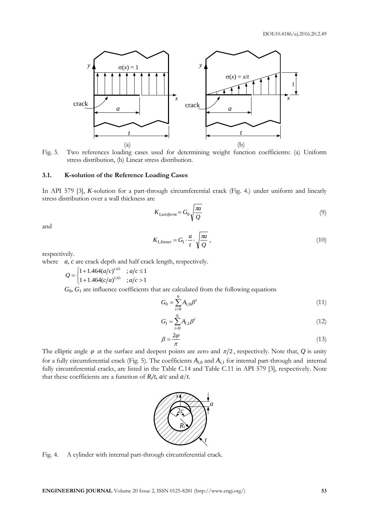

Fig. 3. Two references loading cases used for determining weight function coefficients: (a) Uniform stress distribution, (b) Linear stress distribution.

#### **3.1. K-solution of the Reference Loading Cases**

In API 579 [3], *K*-solution for a part-through circumferential crack (Fig. 4.) under uniform and linearly stress distribution over a wall thickness are

$$
K_{1, uniform} = G_0 \sqrt{\frac{\pi a}{Q}} \tag{9}
$$

and

$$
K_{1,linear} = G_1 \cdot \frac{a}{t} \cdot \sqrt{\frac{\pi a}{Q}} \,,\tag{10}
$$

respectively.

where *a*, *c* are crack depth and half crack length, respectively.

$$
Q = \begin{cases} 1 + 1.464(a/c)^{1.65} & ; a/c \le 1 \\ 1 + 1.464(c/a)^{1.65} & ; a/c > 1 \end{cases}
$$

 $G_0$ ,  $G_1$  are influence coefficients that are calculated from the following equations

$$
G_0 = \sum_{i=0}^{6} A_{i,0} \beta^i
$$
 (11)

$$
G_1 = \sum_{i=0}^{6} A_{i,1} \beta^i
$$
 (12)

$$
\beta = \frac{2\varphi}{\pi} \tag{13}
$$

The elliptic angle  $\varphi$  at the surface and deepest points are zero and  $\pi/2$ , respectively. Note that,  $Q$  is unity for a fully circumferential crack (Fig. 5). The coefficients  $A_{i,0}$  and  $A_{i,1}$  for internal part-through and internal fully circumferential cracks, are listed in the Table C.14 and Table C.11 in API 579 [3], respectively. Note that these coefficients are a function of  $R_i/t$ ,  $a/c$  and  $a/t$ .



Fig. 4. A cylinder with internal part-through circumferential crack.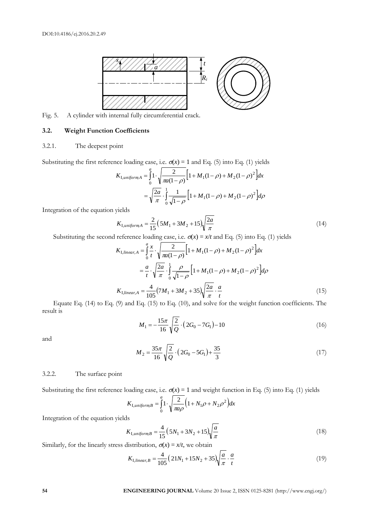

Fig. 5. A cylinder with internal fully circumferential crack.

#### **3.2. Weight Function Coefficients**

#### 3.2.1. The deepest point

Substituting the first reference loading case, i.e.  $\sigma(x) = 1$  and Eq. (5) into Eq. (1) yields

$$
K_{\text{I},uniformA} = \int_{0}^{a} 1 \cdot \sqrt{\frac{2}{\pi a(1-\rho)}} \Big[ 1 + M_1(1-\rho) + M_2(1-\rho)^2 \Big] dx
$$
  
=  $\sqrt{\frac{2a}{\pi}} \cdot \int_{0}^{1} \frac{1}{\sqrt{1-\rho}} \Big[ 1 + M_1(1-\rho) + M_2(1-\rho)^2 \Big] d\rho$ 

Integration of the equation yields

$$
K_{\text{I},\text{uniform}} = \frac{2}{15} \left( 5M_1 + 3M_2 + 15 \right) \sqrt{\frac{2a}{\pi}} \tag{14}
$$

Substituting the second reference loading case, i.e.  $\sigma(x) = x/t$  and Eq. (5) into Eq. (1) yields

$$
K_{1,linear,A} = \int_{0}^{a} \frac{x}{t} \cdot \sqrt{\frac{2}{\pi a(1-\rho)}} \Big[ 1 + M_{1}(1-\rho) + M_{2}(1-\rho)^{2} \Big] dx
$$
  

$$
= \frac{a}{t} \cdot \sqrt{\frac{2a}{\pi}} \cdot \int_{0}^{1} \frac{\rho}{\sqrt{1-\rho}} \Big[ 1 + M_{1}(1-\rho) + M_{2}(1-\rho)^{2} \Big] d\rho
$$
  

$$
K_{1,linear,A} = \frac{4}{105} (7M_{1} + 3M_{2} + 35) \sqrt{\frac{2a}{\pi}} \cdot \frac{a}{t}
$$
 (15)

Equate Eq. (14) to Eq. (9) and Eq. (15) to Eq. (10), and solve for the weight function coefficients. The result is

$$
M_1 = -\frac{15\pi}{16} \sqrt{\frac{2}{Q}} \cdot (2G_0 - 7G_1) - 10
$$
\n(16)

and

$$
M_2 = \frac{35\pi}{16} \sqrt{\frac{2}{Q}} \cdot (2G_0 - 5G_1) + \frac{35}{3}
$$
 (17)

#### 3.2.2. The surface point

Substituting the first reference loading case, i.e.  $\sigma(x) = 1$  and weight function in Eq. (5) into Eq. (1) yields

$$
K_{\text{I},uniformB} = \int_{0}^{a} 1 \cdot \sqrt{\frac{2}{\pi a \rho}} \left( 1 + N_1 \rho + N_2 \rho^2 \right) dx
$$

Integration of the equation yields

$$
K_{1, uniformB} = \frac{4}{15} (5N_1 + 3N_2 + 15) \sqrt{\frac{a}{\pi}}
$$
 (18)

Similarly, for the linearly stress distribution,  $\sigma(x) = x/t$ , we obtain

$$
K_{1,linear,B} = \frac{4}{105} \left( 21N_1 + 15N_2 + 35 \right) \sqrt{\frac{a}{\pi}} \cdot \frac{a}{t}
$$
 (19)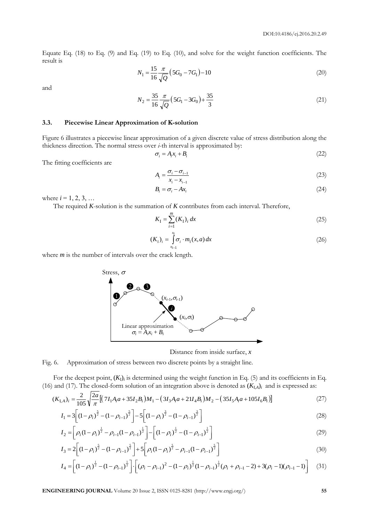Equate Eq. (18) to Eq. (9) and Eq. (19) to Eq. (10), and solve for the weight function coefficients. The result is

$$
N_1 = \frac{15 \pi}{16 \sqrt{Q}} \left( 5G_0 - 7G_1 \right) - 10 \tag{20}
$$

and

$$
N_2 = \frac{35}{16} \frac{\pi}{\sqrt{Q}} \left(5G_1 - 3G_0\right) + \frac{35}{3} \tag{21}
$$

#### **3.3. Piecewise Linear Approximation of K-solution**

Figure 6 illustrates a piecewise linear approximation of a given discrete value of stress distribution along the thickness direction. The normal stress over *i*-th interval is approximated by:

$$
\sigma_i = A_i x_i + B_i \tag{22}
$$

The fitting coefficients are

$$
A_i = \frac{\sigma_i - \sigma_{i-1}}{x_i - x_{i-1}}
$$
\n
$$
(23)
$$

$$
B_i = \sigma_i - Ax_i \tag{24}
$$

where  $i = 1, 2, 3, ...$ 

The required *K*-solution is the summation of *K* contributes from each interval. Therefore,

$$
K_{\rm I} = \sum_{i=1}^{m} (K_{\rm I})_i \, dx \tag{25}
$$

$$
(K_1)_i = \int_{x_{i-1}}^{x_i} \sigma_i \cdot m_1(x, a) \, dx \tag{26}
$$

where *m* is the number of intervals over the crack length.



Distance from inside surface, *x*

Fig. 6. Approximation of stress between two discrete points by a straight line.

For the deepest point, (*K*I)*<sup>i</sup>* is determined using the weight function in Eq. (5) and its coefficients in Eq. (16) and (17). The closed-form solution of an integration above is denoted as  $(K_{I,A})$ <sub>*i*</sub> and is expressed as:

$$
(K_{\mathrm{I},A})_i = \frac{2}{105} \sqrt{\frac{2a}{\pi} \left[ \left( 7I_1 A_i a + 35I_2 B_i \right) M_1 - \left( 3I_3 A_i a + 21I_4 B_i \right) M_2 - \left( 35I_5 A_i a + 105I_6 B_i \right) \right]}
$$
(27)

$$
I_1 = 3\left[ (1 - \rho_i)^{\frac{5}{2}} - (1 - \rho_{i-1})^{\frac{5}{2}} \right] - 5\left[ (1 - \rho_i)^{\frac{3}{2}} - (1 - \rho_{i-1})^{\frac{3}{2}} \right]
$$
(28)

$$
I_2 = \left[\rho_i (1 - \rho_i)^{\frac{1}{2}} - \rho_{i-1} (1 - \rho_{i-1})^{\frac{1}{2}}\right] - \left[(1 - \rho_i)^{\frac{1}{2}} - (1 - \rho_{i-1})^{\frac{1}{2}}\right]
$$
(29)

$$
I_3 = 2\left[ (1 - \rho_i)^{\frac{5}{2}} - (1 - \rho_{i-1})^{\frac{5}{2}} \right] + 5\left[ \rho_i (1 - \rho_i)^{\frac{5}{2}} - \rho_{i-1} (1 - \rho_{i-1})^{\frac{5}{2}} \right]
$$
(30)

$$
I_4 = \left[ (1 - \rho_i)^{\frac{1}{2}} - (1 - \rho_{i-1})^{\frac{1}{2}} \right] \cdot \left[ (\rho_i - \rho_{i-1})^2 - (1 - \rho_i)^{\frac{1}{2}} (1 - \rho_{i-1})^{\frac{1}{2}} (\rho_i + \rho_{i-1} - 2) + 3(\rho_i - 1)(\rho_{i-1} - 1) \right] \tag{31}
$$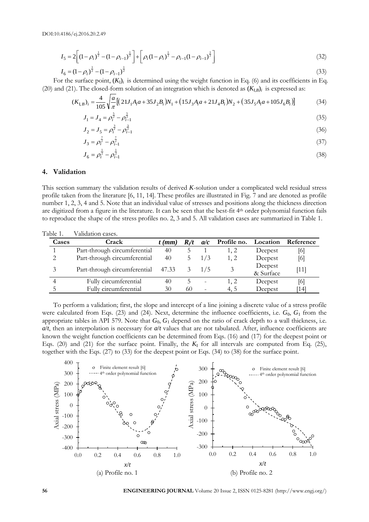$$
I_5 = 2\left[ (1 - \rho_i)^{\frac{1}{2}} - (1 - \rho_{i-1})^{\frac{1}{2}} \right] + \left[ \rho_i (1 - \rho_i)^{\frac{1}{2}} - \rho_{i-1} (1 - \rho_{i-1})^{\frac{1}{2}} \right]
$$
(32)

$$
I_6 = (1 - \rho_i)^{\frac{1}{2}} - (1 - \rho_{i-1})^{\frac{1}{2}}
$$
\n(33)

For the surface point,  $(K_l)$  is determined using the weight function in Eq. (6) and its coefficients in Eq. (20) and (21). The closed-form solution of an integration which is denoted as  $(K_{I,B})$ <sup>i</sup> is expressed as:

$$
(K_{\mathbf{I},B})_i = \frac{4}{105} \sqrt{\frac{a}{\pi} \left[ \left( 21J_1 A_i a + 35J_2 B_i \right) N_1 + \left( 15J_3 A_i a + 21J_4 B_i \right) N_2 + \left( 35J_5 A_i a + 105J_6 B_i \right) \right]}
$$
(34)

$$
J_1 = J_4 = \rho_i^{\frac{5}{2}} - \rho_{i-1}^{\frac{5}{2}}
$$
\n(35)

$$
J_2 = J_5 = \rho_i^{\frac{7}{2}} - \rho_{i-1}^{\frac{7}{2}}
$$
\n(36)

$$
J_3 = \rho_i^{\frac{7}{2}} - \rho_{i-1}^{\frac{7}{2}}
$$
\n
$$
(37)
$$

$$
J_6 = \rho_i^2 - \rho_{i-1}^2 \tag{38}
$$

#### **4. Validation**

This section summary the validation results of derived *K*-solution under a complicated weld residual stress profile taken from the literature [6, 11, 14]. These profiles are illustrated in Fig. 7 and are denoted as profile number 1, 2, 3, 4 and 5. Note that an individual value of stresses and positions along the thickness direction are digitized from a figure in the literature. It can be seen that the best-fit 4th order polynomial function fails to reproduce the shape of the stress profiles no. 2, 3 and 5. All validation cases are summarized in Table 1.

| Cases | Crack                        | $t$ (mm) | R/t | a/c             | Profile no. |                      | Location Reference |
|-------|------------------------------|----------|-----|-----------------|-------------|----------------------|--------------------|
|       | Part-through circumferential | 40       |     |                 | 1, 2        | Deepest              | [6]                |
| 2     | Part-through circumferential | 40       |     | 1/3             | 1, 2        | Deepest              | [6]                |
| 3     | Part-through circumferential | 47.33    |     | $3 \frac{1}{5}$ |             | Deepest<br>& Surface | [11]               |
|       | Fully circumferential        | 40       |     |                 | 1, 2        | Deepest              | [6]                |
|       | Fully circumferential        | 30       | 60  | $\equiv$        | 4.5         | Deepest              | 14                 |
|       |                              |          |     |                 |             |                      |                    |

Table 1. Validation cases.

To perform a validation; first, the slope and intercept of a line joining a discrete value of a stress profile were calculated from Eqs. (23) and (24). Next, determine the influence coefficients, i.e.  $G_0$ ,  $G_1$  from the appropriate tables in API 579. Note that  $G_0$ ,  $G_1$  depend on the ratio of crack depth to a wall thickness, i.e. *a*/*t*, then an interpolation is necessary for *a*/*t* values that are not tabulated. After, influence coefficients are known the weight function coefficients can be determined from Eqs. (16) and (17) for the deepest point or Eqs. (20) and (21) for the surface point. Finally, the  $K<sub>I</sub>$  for all intervals are computed from Eq. (25), together with the Eqs. (27) to (33) for the deepest point or Eqs. (34) to (38) for the surface point.



**56 ENGINEERING JOURNAL** Volume 20 Issue 2, ISSN 0125-8281 (http://www.engj.org/)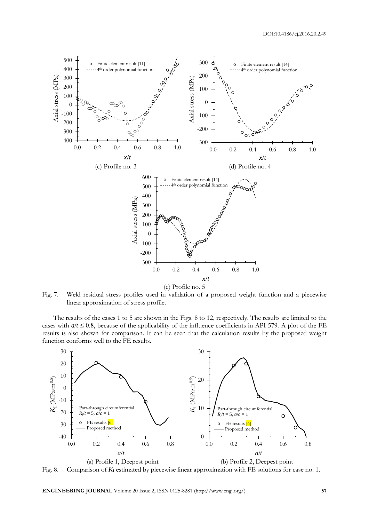

(e) Profile no. 5

Fig. 7. Weld residual stress profiles used in validation of a proposed weight function and a piecewise linear approximation of stress profile.

The results of the cases 1 to 5 are shown in the Figs. 8 to 12, respectively. The results are limited to the cases with  $a/t \le 0.8$ , because of the applicability of the influence coefficients in API 579. A plot of the FE results is also shown for comparison. It can be seen that the calculation results by the proposed weight function conforms well to the FE results.



Fig. 8. Comparison of *K*<sup>I</sup> estimated by piecewise linear approximation with FE solutions for case no. 1.

**ENGINEERING JOURNAL** Volume 20 Issue 2, ISSN 0125-8281 (http://www.engj.org/) **57**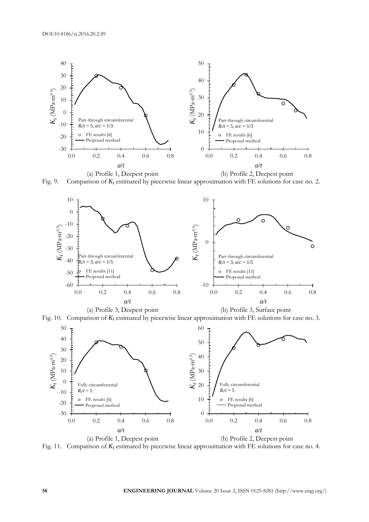

Fig. 9. Comparison of  $K_I$  estimated by piecewise linear approximation with FE solutions for case no. 2.



Fig. 10. Comparison of  $K_I$  estimated by piecewise linear approximation with FE solutions for case no. 3.



Fig. 11. Comparison of  $K_I$  estimated by piecewise linear approximation with FE solutions for case no. 4.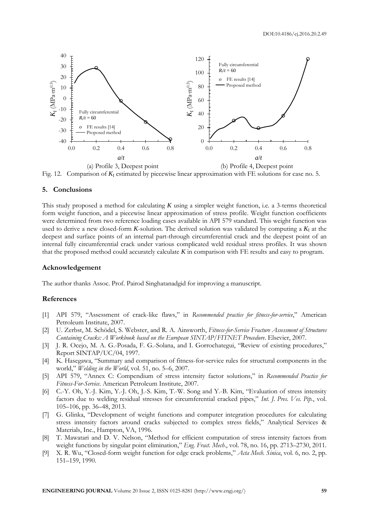

Fig. 12. Comparison of  $K_I$  estimated by piecewise linear approximation with FE solutions for case no. 5.

#### **5. Conclusions**

This study proposed a method for calculating *K* using a simpler weight function, i.e. a 3-terms theoretical form weight function, and a piecewise linear approximation of stress profile. Weight function coefficients were determined from two reference loading cases available in API 579 standard. This weight function was used to derive a new closed-form  $K$ -solution. The derived solution was validated by computing a  $K_I$  at the deepest and surface points of an internal part-through circumferential crack and the deepest point of an internal fully circumferential crack under various complicated weld residual stress profiles. It was shown that the proposed method could accurately calculate *K* in comparison with FE results and easy to program.

#### **Acknowledgement**

The author thanks Assoc. Prof. Pairod Singhatanadgid for improving a manuscript.

#### **References**

- [1] API 579, "Assessment of crack-like flaws," in *Recommended practice for fitness-for-service*," American Petroleum Institute, 2007.
- [2] U. Zerbst, M. Schödel, S. Webster, and R. A. Ainsworth, *Fitness-for-Service Fracture Assessment of Structures Containing Cracks: A Workbook based on the European SINTAP/FITNET Procedure*. Elsevier, 2007.
- [3] J. R. Ocejo, M. A. G.-Posada, F. G.-Solana, and I. Gorrochategui, "Review of existing procedures," Report SINTAP/UC/04, 1997.
- [4] K. Hasegawa, "Summary and comparison of fitness-for-service rules for structural components in the world," *Welding in the World*, vol. 51, no. 5–6, 2007.
- [5] API 579, "Annex C: Compendium of stress intensity factor solutions," in *Recommended Practice for Fitness-For-Service*. American Petroleum Institute, 2007.
- [6] C.-Y. Oh, Y.-J. Kim, Y.-J. Oh, J.-S. Kim, T.-W. Song and Y.-B. Kim, "Evaluation of stress intensity factors due to welding residual stresses for circumferential cracked pipes," *Int. J. Pres. Ves. Pip.*, vol. 105–106, pp. 36–48, 2013.
- [7] G. Glinka, "Development of weight functions and computer integration procedures for calculating stress intensity factors around cracks subjected to complex stress fields," Analytical Services & Materials, Inc., Hampton, VA, 1996.
- [8] T. Mawatari and D. V. Nelson, "Method for efficient computation of stress intensity factors from weight functions by singular point elimination," *Eng. Fract. Mech*., vol. 78, no. 16, pp. 2713–2730, 2011.
- [9] X. R. Wu, "Closed-form weight function for edge crack problems," *Acta Mech. Sinica*, vol. 6, no. 2, pp. 151–159, 1990.